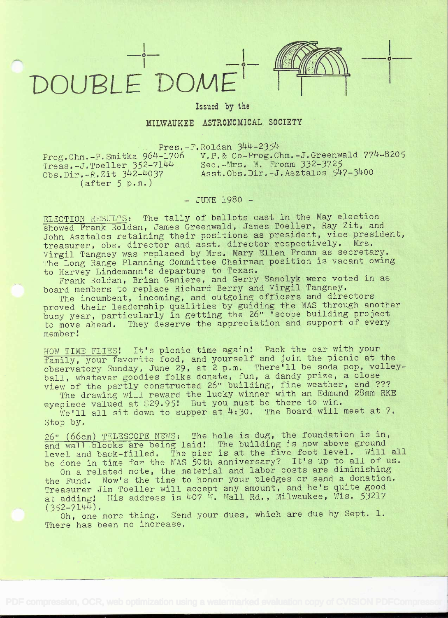## $-1 - 1 - 1 - 1 = 1 - 1$



o

## Issued by the

## MILWAUKEE ASTRONOMICAL SOCIETY

 $Pres.-F.Roldan 344-2354$ 

(after S p.m.)

 $\text{Prog.}\text{Chm.-P.}\text{Smitka } 964-1706$  v.p.& Co-Prog.Chm.-J.Greenwald 774-8205 Prog. Chin.-F. Sini that 904-1700<br>Treas.-J.Toeller 352-7144 Sec.-Mrs. M. Fromm 332-3725 Treas.-J.Toeller 352-7144 Sec.-Mrs. M. Fromm 332-3725<br>Obs.Dir.-R.Zit 342-4037 Asst.Obs.Dir.-J.Asztalos 547-3400

- JUNE 1980 -

ELECTION RESULTS: The tally of ballots cast in the May election showed Frank Roldan, James Greenwald, James Toeller, Ray Zit, and John Asztalos retaining their positions as president, vice president, treasurer, obs. director and asst. director respectively. Mrs. Virgil Tangney was replaced by Mrs. Mary Filen Fromm as secretary. The Long Range Planning Committee Chairman position is vacant owing -to Harvey Lindemann's departure to Texas.

Frank Roldan, Brian Ganiere, and Gerry Samolyk were voted in as board members to replace Richard Berry and Virgil Tangney.

The incumbent, incoming, and outgoing officers and directors proved their leadership qualities by guiding the MAS through another busy year, particularly in getting the 26" 'scope building project to move ahead. They deserve the appreciation and support of every member

HOW TIME FLIES! It's picnic time again! Pack the car with your family, your favorite food, and yourself and join the picnic at the observatory Sunday, June 29, at 2 p.m. There'll be soda pop, volley- ball, whatever goodies folks donate, fun, a dandy prize, a close view of the partly constructed 26" building, fine weather, and ???

Which the partity constracted be substanting, with an Edmund 28mm RKE eyepiece valued at \$29.95! But you must be there to win. We'll all sit down to supper at  $4:30$ . The Board will meet at 7.

Stop by.

26" (66cm) TELESCOPE NEWS: The hole is dug, the foundation is in, and wall blocks are being laid! The building is now above ground level and back-filled. The pier is at the five foot level. Will all be done in time for the MAS 50th anniversary? It's up to all of us.

done in time for the mas joth anniversary. The see diminishing<br>On a related note, the material and labor costs are diminishing the Fund. Now's the time to honor your pledges or send a donation. Treasurer Jim Toeller will accept any amount, and he's quite good at adding! His address is  $407$  W. Mall Rd., Milwaukee, Wis. 53217  $(352 - 7144)$ .

Oh, one more thing. Send your dues, which are due by Sept. 1. There has been no increase.